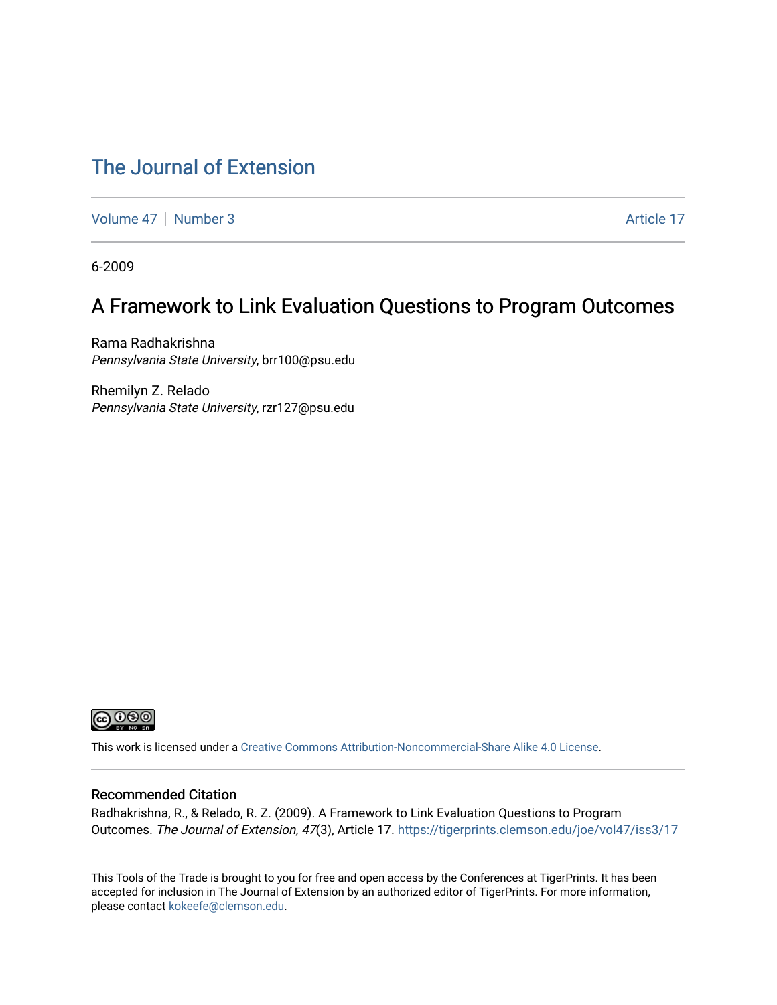### [The Journal of Extension](https://tigerprints.clemson.edu/joe)

[Volume 47](https://tigerprints.clemson.edu/joe/vol47) | [Number 3](https://tigerprints.clemson.edu/joe/vol47/iss3) Article 17

6-2009

### A Framework to Link Evaluation Questions to Program Outcomes

Rama Radhakrishna Pennsylvania State University, brr100@psu.edu

Rhemilyn Z. Relado Pennsylvania State University, rzr127@psu.edu



This work is licensed under a [Creative Commons Attribution-Noncommercial-Share Alike 4.0 License.](https://creativecommons.org/licenses/by-nc-sa/4.0/)

#### Recommended Citation

Radhakrishna, R., & Relado, R. Z. (2009). A Framework to Link Evaluation Questions to Program Outcomes. The Journal of Extension, 47(3), Article 17. <https://tigerprints.clemson.edu/joe/vol47/iss3/17>

This Tools of the Trade is brought to you for free and open access by the Conferences at TigerPrints. It has been accepted for inclusion in The Journal of Extension by an authorized editor of TigerPrints. For more information, please contact [kokeefe@clemson.edu](mailto:kokeefe@clemson.edu).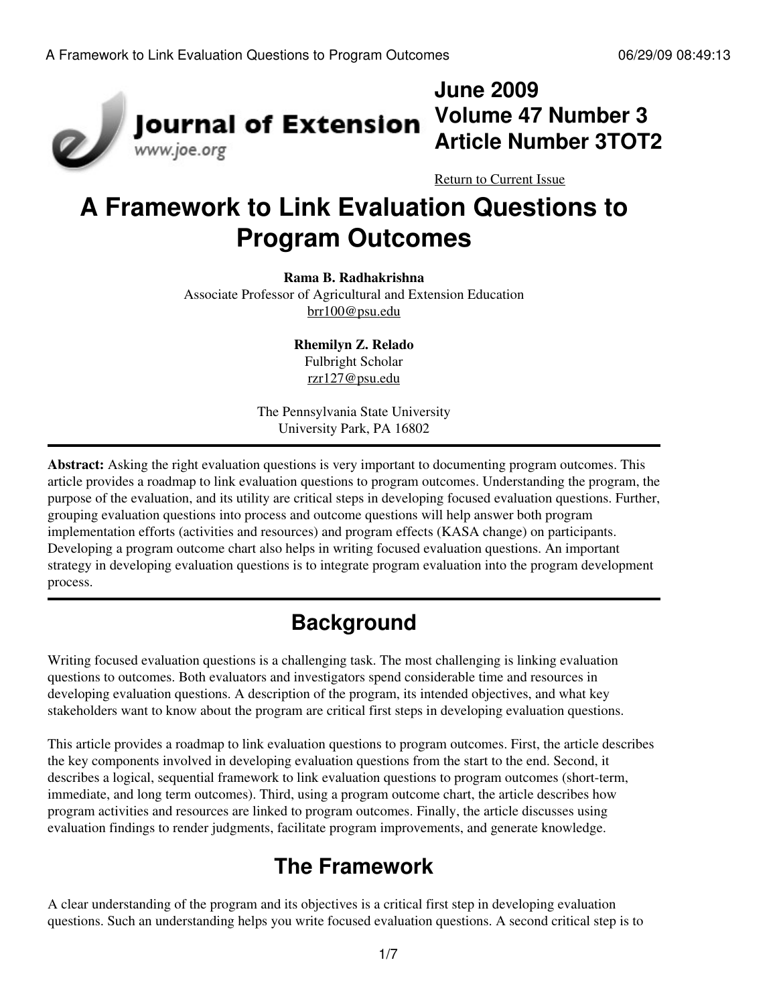

### **June 2009 Volume 47 Number 3 Article Number 3TOT2**

[Return to Current Issue](http://www.joe.org:80/joe/2009june/)

# **A Framework to Link Evaluation Questions to Program Outcomes**

#### **Rama B. Radhakrishna**

Associate Professor of Agricultural and Extension Education [brr100@psu.edu](mailto:brr100@psu.edu)

> **Rhemilyn Z. Relado** Fulbright Scholar [rzr127@psu.edu](mailto:rzr127@psu.edu)

The Pennsylvania State University University Park, PA 16802

**Abstract:** Asking the right evaluation questions is very important to documenting program outcomes. This article provides a roadmap to link evaluation questions to program outcomes. Understanding the program, the purpose of the evaluation, and its utility are critical steps in developing focused evaluation questions. Further, grouping evaluation questions into process and outcome questions will help answer both program implementation efforts (activities and resources) and program effects (KASA change) on participants. Developing a program outcome chart also helps in writing focused evaluation questions. An important strategy in developing evaluation questions is to integrate program evaluation into the program development process.

# **Background**

Writing focused evaluation questions is a challenging task. The most challenging is linking evaluation questions to outcomes. Both evaluators and investigators spend considerable time and resources in developing evaluation questions. A description of the program, its intended objectives, and what key stakeholders want to know about the program are critical first steps in developing evaluation questions.

This article provides a roadmap to link evaluation questions to program outcomes. First, the article describes the key components involved in developing evaluation questions from the start to the end. Second, it describes a logical, sequential framework to link evaluation questions to program outcomes (short-term, immediate, and long term outcomes). Third, using a program outcome chart, the article describes how program activities and resources are linked to program outcomes. Finally, the article discusses using evaluation findings to render judgments, facilitate program improvements, and generate knowledge.

## **The Framework**

A clear understanding of the program and its objectives is a critical first step in developing evaluation questions. Such an understanding helps you write focused evaluation questions. A second critical step is to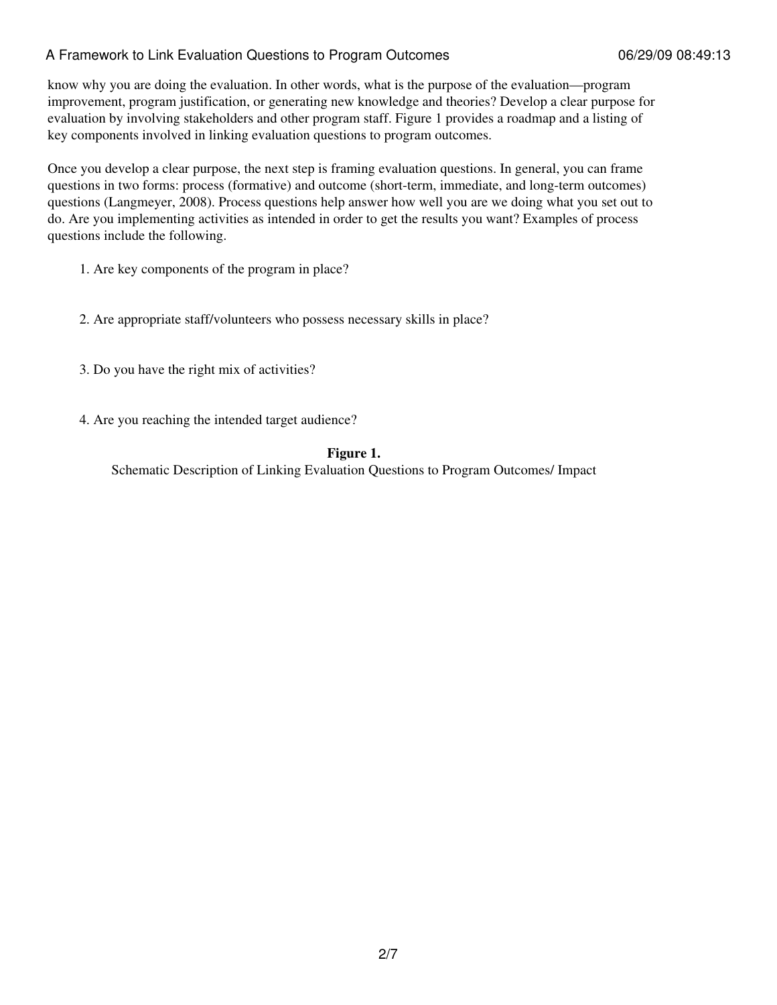### A Framework to Link Evaluation Questions to Program Outcomes 06/29/09 08:49:13

know why you are doing the evaluation. In other words, what is the purpose of the evaluation—program improvement, program justification, or generating new knowledge and theories? Develop a clear purpose for evaluation by involving stakeholders and other program staff. Figure 1 provides a roadmap and a listing of key components involved in linking evaluation questions to program outcomes.

Once you develop a clear purpose, the next step is framing evaluation questions. In general, you can frame questions in two forms: process (formative) and outcome (short-term, immediate, and long-term outcomes) questions (Langmeyer, 2008). Process questions help answer how well you are we doing what you set out to do. Are you implementing activities as intended in order to get the results you want? Examples of process questions include the following.

- 1. Are key components of the program in place?
- 2. Are appropriate staff/volunteers who possess necessary skills in place?
- 3. Do you have the right mix of activities?
- 4. Are you reaching the intended target audience?

#### **Figure 1.**

Schematic Description of Linking Evaluation Questions to Program Outcomes/ Impact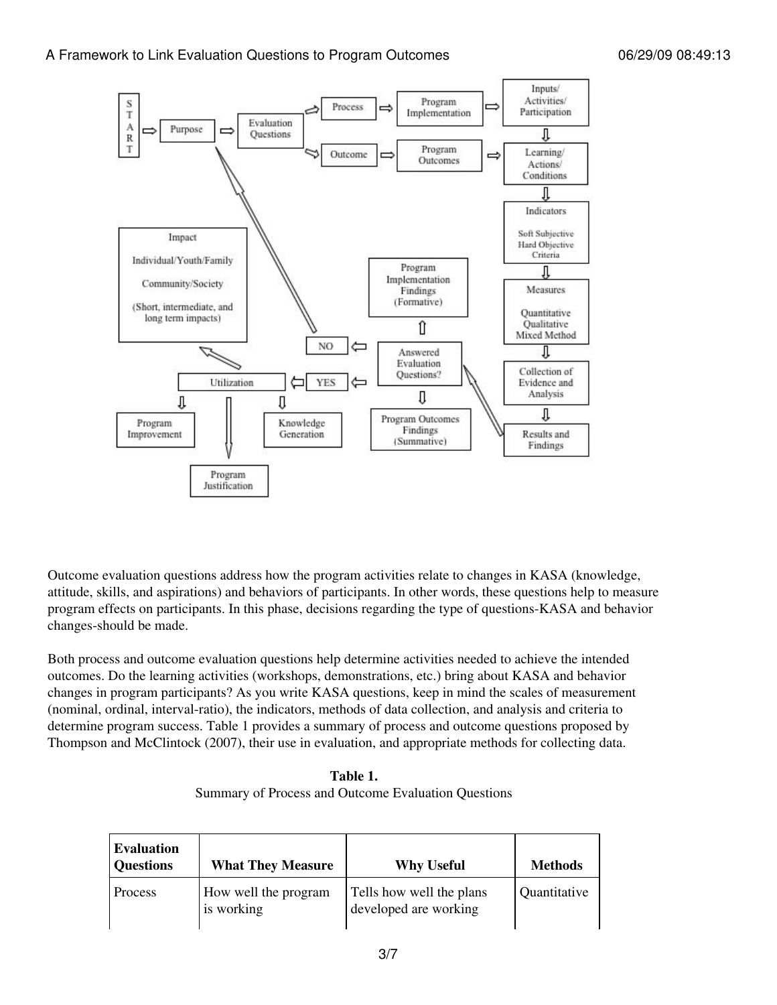

Outcome evaluation questions address how the program activities relate to changes in KASA (knowledge, attitude, skills, and aspirations) and behaviors of participants. In other words, these questions help to measure program effects on participants. In this phase, decisions regarding the type of questions-KASA and behavior changes-should be made.

Both process and outcome evaluation questions help determine activities needed to achieve the intended outcomes. Do the learning activities (workshops, demonstrations, etc.) bring about KASA and behavior changes in program participants? As you write KASA questions, keep in mind the scales of measurement (nominal, ordinal, interval-ratio), the indicators, methods of data collection, and analysis and criteria to determine program success. Table 1 provides a summary of process and outcome questions proposed by Thompson and McClintock (2007), their use in evaluation, and appropriate methods for collecting data.

**Table 1.** Summary of Process and Outcome Evaluation Questions

| <b>Evaluation</b><br><b>Questions</b> | <b>What They Measure</b>           | <b>Why Useful</b>                                 | <b>Methods</b> |
|---------------------------------------|------------------------------------|---------------------------------------------------|----------------|
| Process                               | How well the program<br>is working | Tells how well the plans<br>developed are working | Quantitative   |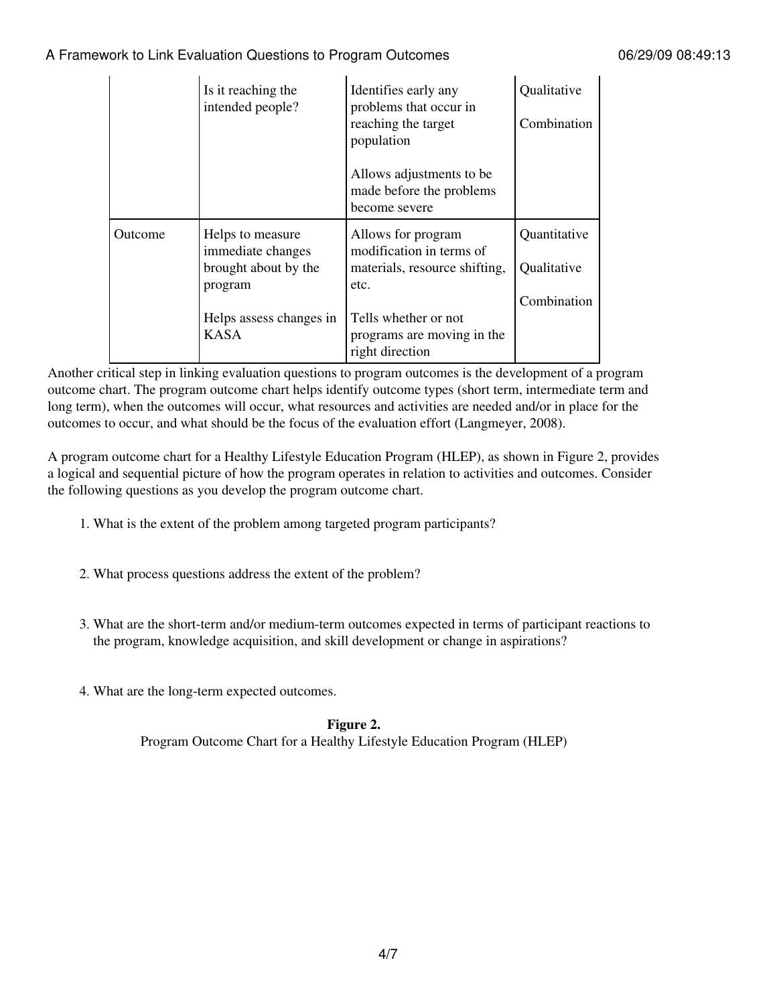### A Framework to Link Evaluation Questions to Program Outcomes 06/29/09 08:49:13

|         | Is it reaching the<br>intended people?                                                                             | Identifies early any<br>problems that occur in<br>reaching the target<br>population<br>Allows adjustments to be<br>made before the problems<br>become severe     | Qualitative<br>Combination                 |
|---------|--------------------------------------------------------------------------------------------------------------------|------------------------------------------------------------------------------------------------------------------------------------------------------------------|--------------------------------------------|
| Outcome | Helps to measure<br>immediate changes<br>brought about by the<br>program<br>Helps assess changes in<br><b>KASA</b> | Allows for program<br>modification in terms of<br>materials, resource shifting,<br>etc.<br>Tells whether or not<br>programs are moving in the<br>right direction | Quantitative<br>Qualitative<br>Combination |

Another critical step in linking evaluation questions to program outcomes is the development of a program outcome chart. The program outcome chart helps identify outcome types (short term, intermediate term and long term), when the outcomes will occur, what resources and activities are needed and/or in place for the outcomes to occur, and what should be the focus of the evaluation effort (Langmeyer, 2008).

A program outcome chart for a Healthy Lifestyle Education Program (HLEP), as shown in Figure 2, provides a logical and sequential picture of how the program operates in relation to activities and outcomes. Consider the following questions as you develop the program outcome chart.

- 1. What is the extent of the problem among targeted program participants?
- 2. What process questions address the extent of the problem?
- What are the short-term and/or medium-term outcomes expected in terms of participant reactions to 3. the program, knowledge acquisition, and skill development or change in aspirations?
- 4. What are the long-term expected outcomes.

#### **Figure 2.**

Program Outcome Chart for a Healthy Lifestyle Education Program (HLEP)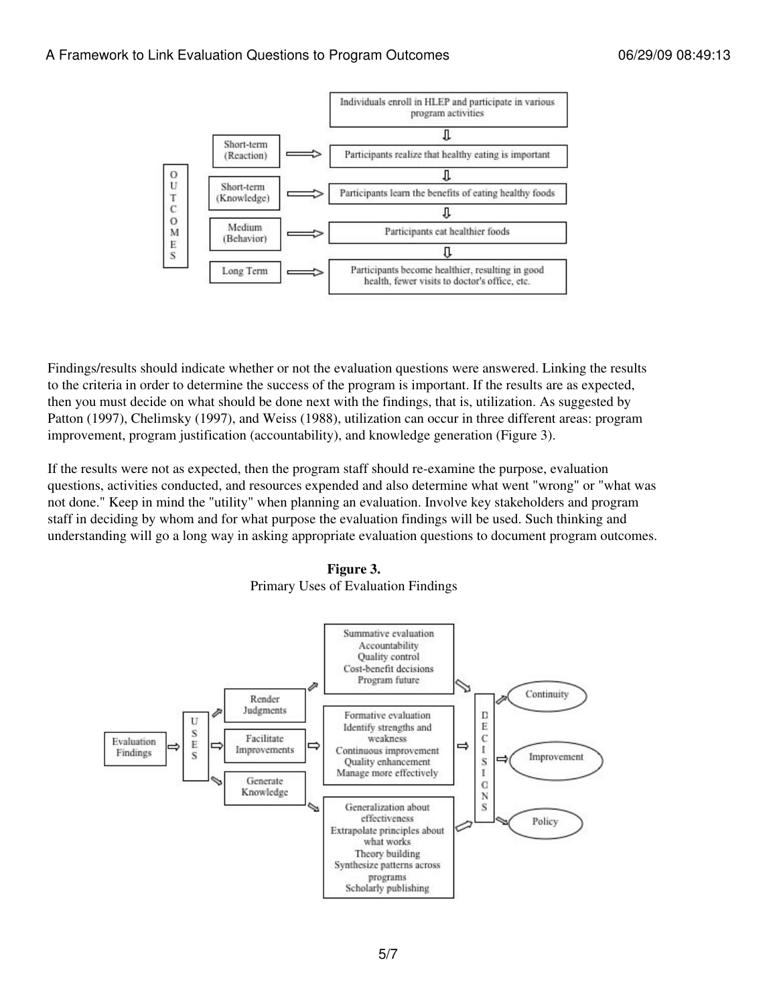

Findings/results should indicate whether or not the evaluation questions were answered. Linking the results to the criteria in order to determine the success of the program is important. If the results are as expected, then you must decide on what should be done next with the findings, that is, utilization. As suggested by Patton (1997), Chelimsky (1997), and Weiss (1988), utilization can occur in three different areas: program improvement, program justification (accountability), and knowledge generation (Figure 3).

If the results were not as expected, then the program staff should re-examine the purpose, evaluation questions, activities conducted, and resources expended and also determine what went "wrong" or "what was not done." Keep in mind the "utility" when planning an evaluation. Involve key stakeholders and program staff in deciding by whom and for what purpose the evaluation findings will be used. Such thinking and understanding will go a long way in asking appropriate evaluation questions to document program outcomes.

**Figure 3.** Primary Uses of Evaluation Findings

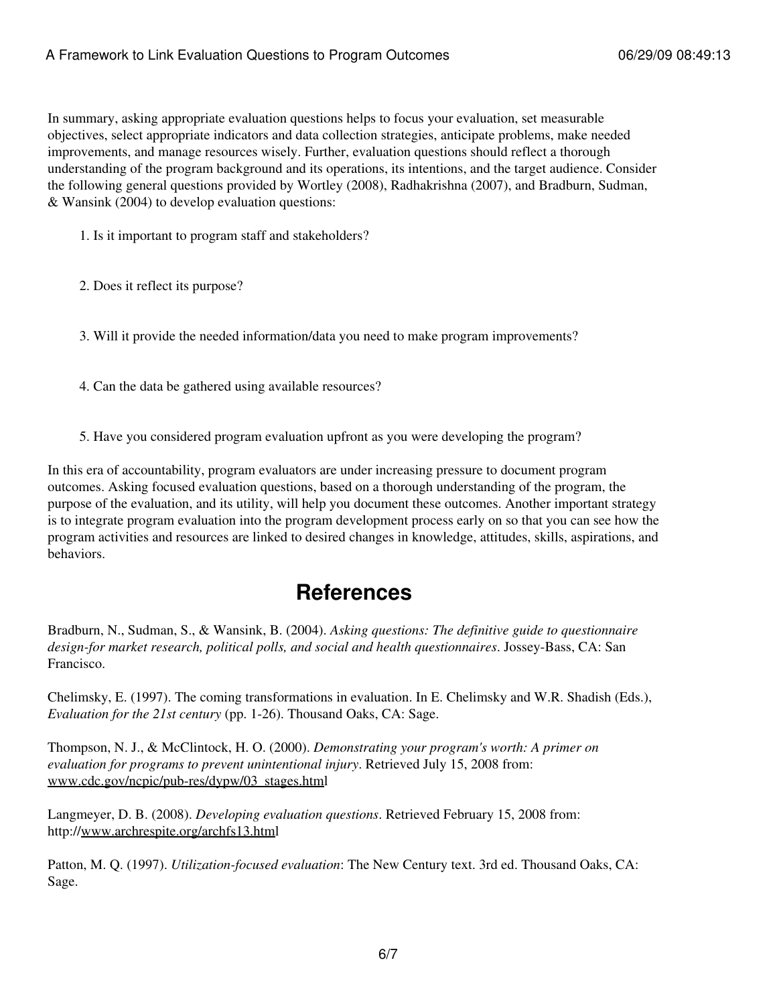In summary, asking appropriate evaluation questions helps to focus your evaluation, set measurable objectives, select appropriate indicators and data collection strategies, anticipate problems, make needed improvements, and manage resources wisely. Further, evaluation questions should reflect a thorough understanding of the program background and its operations, its intentions, and the target audience. Consider the following general questions provided by Wortley (2008), Radhakrishna (2007), and Bradburn, Sudman, & Wansink (2004) to develop evaluation questions:

1. Is it important to program staff and stakeholders?

2. Does it reflect its purpose?

3. Will it provide the needed information/data you need to make program improvements?

- 4. Can the data be gathered using available resources?
- 5. Have you considered program evaluation upfront as you were developing the program?

In this era of accountability, program evaluators are under increasing pressure to document program outcomes. Asking focused evaluation questions, based on a thorough understanding of the program, the purpose of the evaluation, and its utility, will help you document these outcomes. Another important strategy is to integrate program evaluation into the program development process early on so that you can see how the program activities and resources are linked to desired changes in knowledge, attitudes, skills, aspirations, and behaviors.

### **References**

Bradburn, N., Sudman, S., & Wansink, B. (2004). *Asking questions: The definitive guide to questionnaire design-for market research, political polls, and social and health questionnaires*. Jossey-Bass, CA: San Francisco.

Chelimsky, E. (1997). The coming transformations in evaluation. In E. Chelimsky and W.R. Shadish (Eds.), *Evaluation for the 21st century* (pp. 1-26). Thousand Oaks, CA: Sage.

Thompson, N. J., & McClintock, H. O. (2000). *Demonstrating your program's worth: A primer on evaluation for programs to prevent unintentional injury*. Retrieved July 15, 2008 from: [www.cdc.gov/ncpic/pub-res/dypw/03\\_stages.htm](http://www.cdc.gov/ncpic/pub-res/dypw/03_stages.htm)l

Langmeyer, D. B. (2008). *Developing evaluation questions*. Retrieved February 15, 2008 from: http://[www.archrespite.org/archfs13.html](http://www.archrespite.org/archfs13.htm)

Patton, M. Q. (1997). *Utilization-focused evaluation*: The New Century text. 3rd ed. Thousand Oaks, CA: Sage.